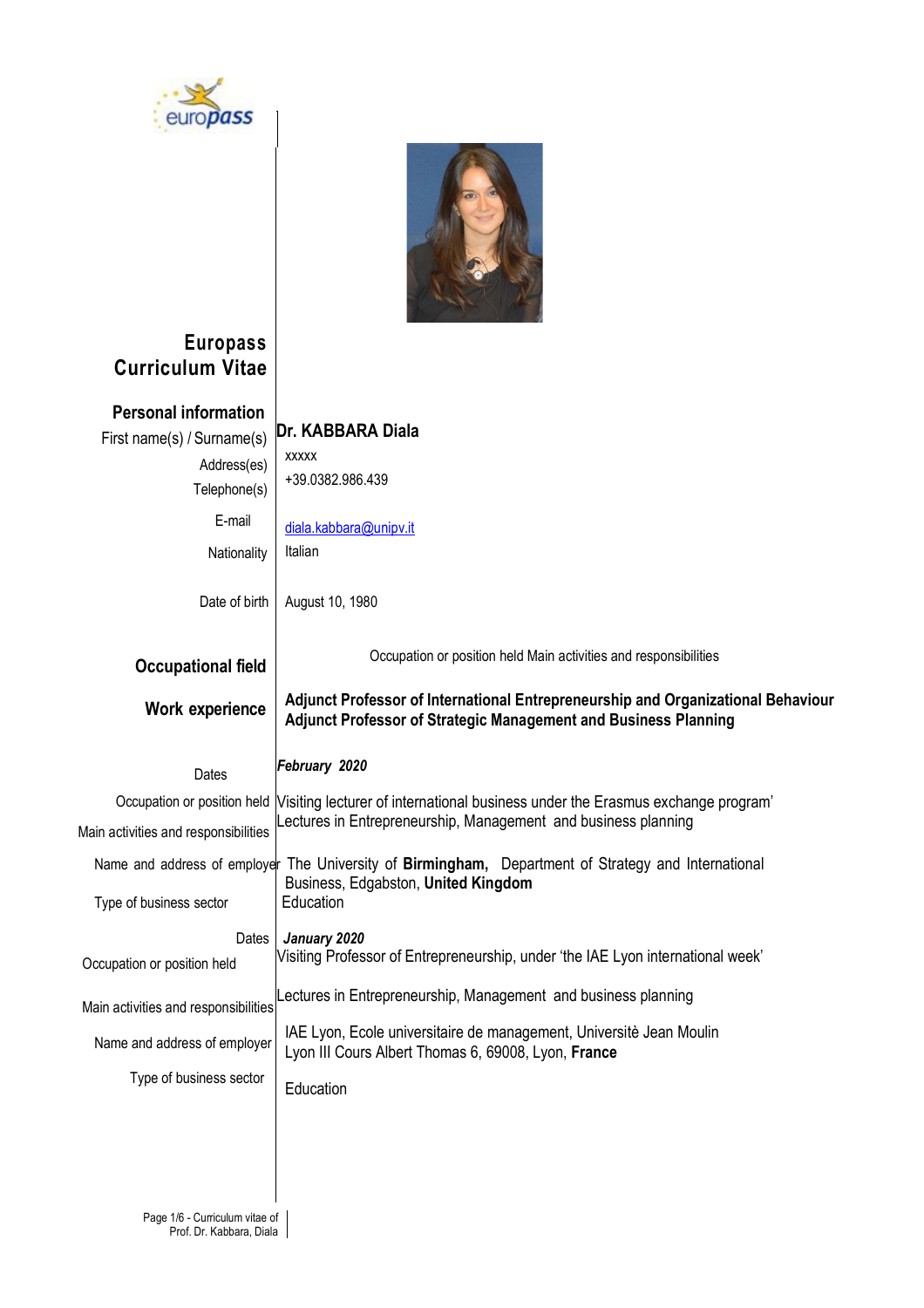



## **Europass Curriculum Vitae**

| <b>Personal information</b><br>First name(s) / Surname(s)<br>Address(es)<br>Telephone(s) | Dr. KABBARA Diala<br><b>XXXXX</b><br>+39.0382.986.439                                                                                                   |  |  |  |  |  |  |
|------------------------------------------------------------------------------------------|---------------------------------------------------------------------------------------------------------------------------------------------------------|--|--|--|--|--|--|
| E-mail                                                                                   | diala.kabbara@unipv.it                                                                                                                                  |  |  |  |  |  |  |
| Nationality                                                                              | Italian                                                                                                                                                 |  |  |  |  |  |  |
| Date of birth                                                                            | August 10, 1980                                                                                                                                         |  |  |  |  |  |  |
| <b>Occupational field</b>                                                                | Occupation or position held Main activities and responsibilities                                                                                        |  |  |  |  |  |  |
| Work experience                                                                          | Adjunct Professor of International Entrepreneurship and Organizational Behaviour<br>Adjunct Professor of Strategic Management and Business Planning     |  |  |  |  |  |  |
| Dates                                                                                    | February 2020                                                                                                                                           |  |  |  |  |  |  |
| Occupation or position held<br>Main activities and responsibilities                      | Visiting lecturer of international business under the Erasmus exchange program'<br>Lectures in Entrepreneurship, Management and business planning       |  |  |  |  |  |  |
| Type of business sector                                                                  | Name and address of employer The University of Birmingham, Department of Strategy and International<br>Business, Edgabston, United Kingdom<br>Education |  |  |  |  |  |  |
| Dates<br>Occupation or position held                                                     | January 2020<br>Visiting Professor of Entrepreneurship, under 'the IAE Lyon international week'                                                         |  |  |  |  |  |  |
| Main activities and responsibilities                                                     | Lectures in Entrepreneurship, Management and business planning                                                                                          |  |  |  |  |  |  |
| Name and address of employer                                                             | IAE Lyon, Ecole universitaire de management, Universitè Jean Moulin<br>Lyon III Cours Albert Thomas 6, 69008, Lyon, France                              |  |  |  |  |  |  |
| Type of business sector                                                                  | Education                                                                                                                                               |  |  |  |  |  |  |
|                                                                                          |                                                                                                                                                         |  |  |  |  |  |  |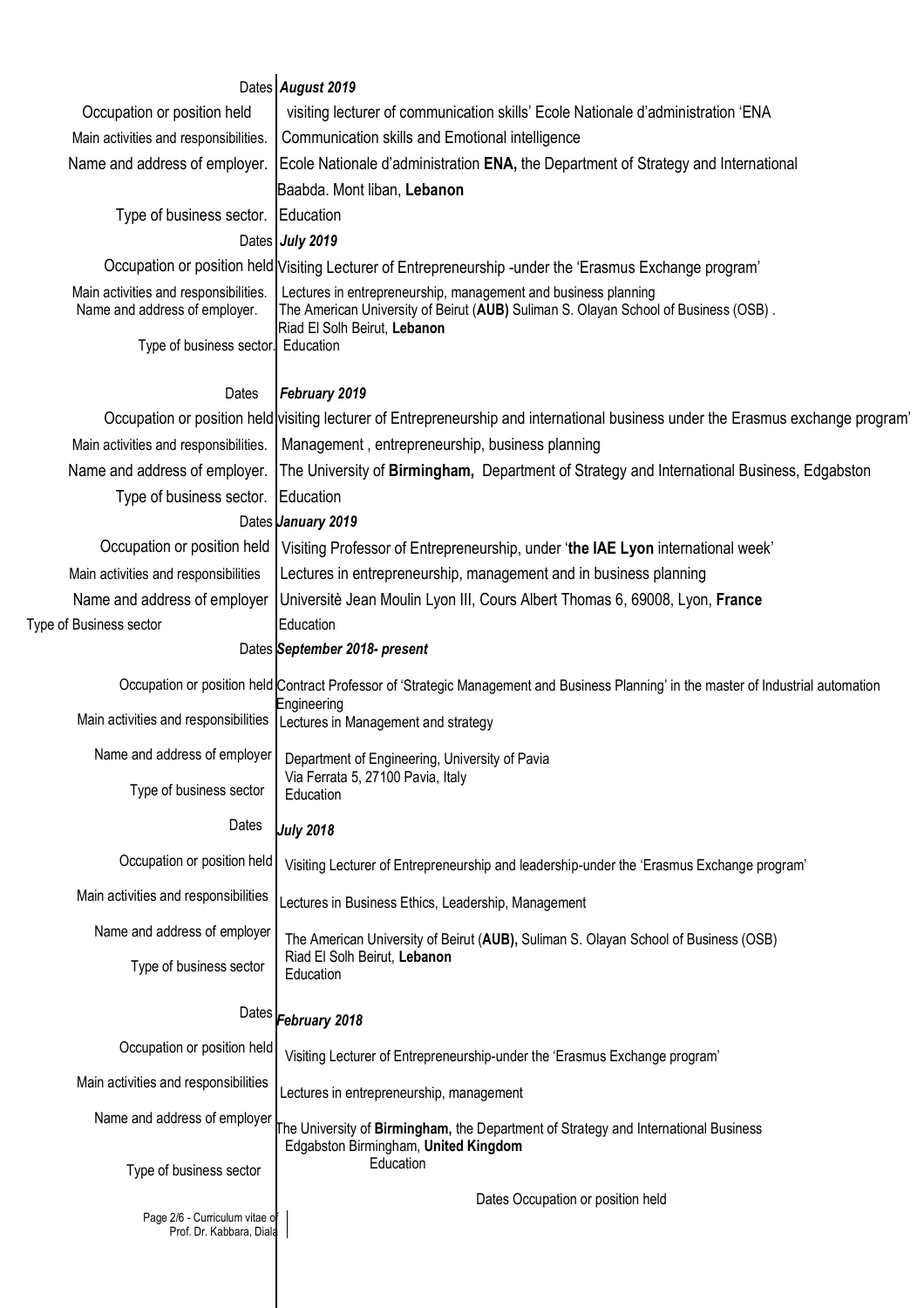|                                                                        | Dates August 2019                                                                                                                                     |  |  |  |  |  |  |  |
|------------------------------------------------------------------------|-------------------------------------------------------------------------------------------------------------------------------------------------------|--|--|--|--|--|--|--|
| Occupation or position held                                            | visiting lecturer of communication skills' Ecole Nationale d'administration 'ENA                                                                      |  |  |  |  |  |  |  |
| Main activities and responsibilities.                                  | Communication skills and Emotional intelligence                                                                                                       |  |  |  |  |  |  |  |
| Name and address of employer.                                          | Ecole Nationale d'administration ENA, the Department of Strategy and International                                                                    |  |  |  |  |  |  |  |
|                                                                        | Baabda. Mont liban, Lebanon                                                                                                                           |  |  |  |  |  |  |  |
| Type of business sector.                                               | Education                                                                                                                                             |  |  |  |  |  |  |  |
|                                                                        | Dates July 2019                                                                                                                                       |  |  |  |  |  |  |  |
|                                                                        | Occupation or position held Visiting Lecturer of Entrepreneurship -under the 'Erasmus Exchange program'                                               |  |  |  |  |  |  |  |
| Main activities and responsibilities.<br>Name and address of employer. | Lectures in entrepreneurship, management and business planning<br>The American University of Beirut (AUB) Suliman S. Olayan School of Business (OSB). |  |  |  |  |  |  |  |
| Type of business sector.                                               | Riad El Solh Beirut, Lebanon<br>Education                                                                                                             |  |  |  |  |  |  |  |
| Dates                                                                  | February 2019                                                                                                                                         |  |  |  |  |  |  |  |
|                                                                        | Occupation or position held visiting lecturer of Entrepreneurship and international business under the Erasmus exchange program'                      |  |  |  |  |  |  |  |
| Main activities and responsibilities.                                  | Management, entrepreneurship, business planning                                                                                                       |  |  |  |  |  |  |  |
| Name and address of employer.                                          | The University of Birmingham, Department of Strategy and International Business, Edgabston                                                            |  |  |  |  |  |  |  |
| Type of business sector.                                               | Education                                                                                                                                             |  |  |  |  |  |  |  |
|                                                                        | Dates <i>January</i> 2019                                                                                                                             |  |  |  |  |  |  |  |
| Occupation or position held                                            | Visiting Professor of Entrepreneurship, under 'the IAE Lyon international week'                                                                       |  |  |  |  |  |  |  |
| Main activities and responsibilities                                   | Lectures in entrepreneurship, management and in business planning                                                                                     |  |  |  |  |  |  |  |
| Name and address of employer                                           | Universitè Jean Moulin Lyon III, Cours Albert Thomas 6, 69008, Lyon, France                                                                           |  |  |  |  |  |  |  |
| Type of Business sector                                                | Education                                                                                                                                             |  |  |  |  |  |  |  |
|                                                                        | Dates September 2018- present                                                                                                                         |  |  |  |  |  |  |  |
|                                                                        | Occupation or position held Contract Professor of 'Strategic Management and Business Planning' in the master of Industrial automation                 |  |  |  |  |  |  |  |
| Main activities and responsibilities                                   | Engineering<br>Lectures in Management and strategy                                                                                                    |  |  |  |  |  |  |  |
| Name and address of employer                                           | Department of Engineering, University of Pavia                                                                                                        |  |  |  |  |  |  |  |
| Type of business sector                                                | Via Ferrata 5, 27100 Pavia, Italy<br>Education                                                                                                        |  |  |  |  |  |  |  |
| Dates                                                                  | <b>July 2018</b>                                                                                                                                      |  |  |  |  |  |  |  |
| Occupation or position held                                            | Visiting Lecturer of Entrepreneurship and leadership-under the 'Erasmus Exchange program'                                                             |  |  |  |  |  |  |  |
| Main activities and responsibilities                                   | Lectures in Business Ethics, Leadership, Management                                                                                                   |  |  |  |  |  |  |  |
| Name and address of employer                                           | The American University of Beirut (AUB), Suliman S. Olayan School of Business (OSB)                                                                   |  |  |  |  |  |  |  |
| Type of business sector                                                | Riad El Solh Beirut, Lebanon<br>Education                                                                                                             |  |  |  |  |  |  |  |
|                                                                        | Dates February 2018                                                                                                                                   |  |  |  |  |  |  |  |
| Occupation or position held                                            | Visiting Lecturer of Entrepreneurship-under the 'Erasmus Exchange program'                                                                            |  |  |  |  |  |  |  |
| Main activities and responsibilities                                   | Lectures in entrepreneurship, management                                                                                                              |  |  |  |  |  |  |  |
| Name and address of employer                                           | The University of Birmingham, the Department of Strategy and International Business<br>Edgabston Birmingham, United Kingdom                           |  |  |  |  |  |  |  |
| Type of business sector                                                | Education                                                                                                                                             |  |  |  |  |  |  |  |
| Page 2/6 - Curriculum vitae o<br>Prof. Dr. Kabbara, Diala              | Dates Occupation or position held                                                                                                                     |  |  |  |  |  |  |  |
|                                                                        |                                                                                                                                                       |  |  |  |  |  |  |  |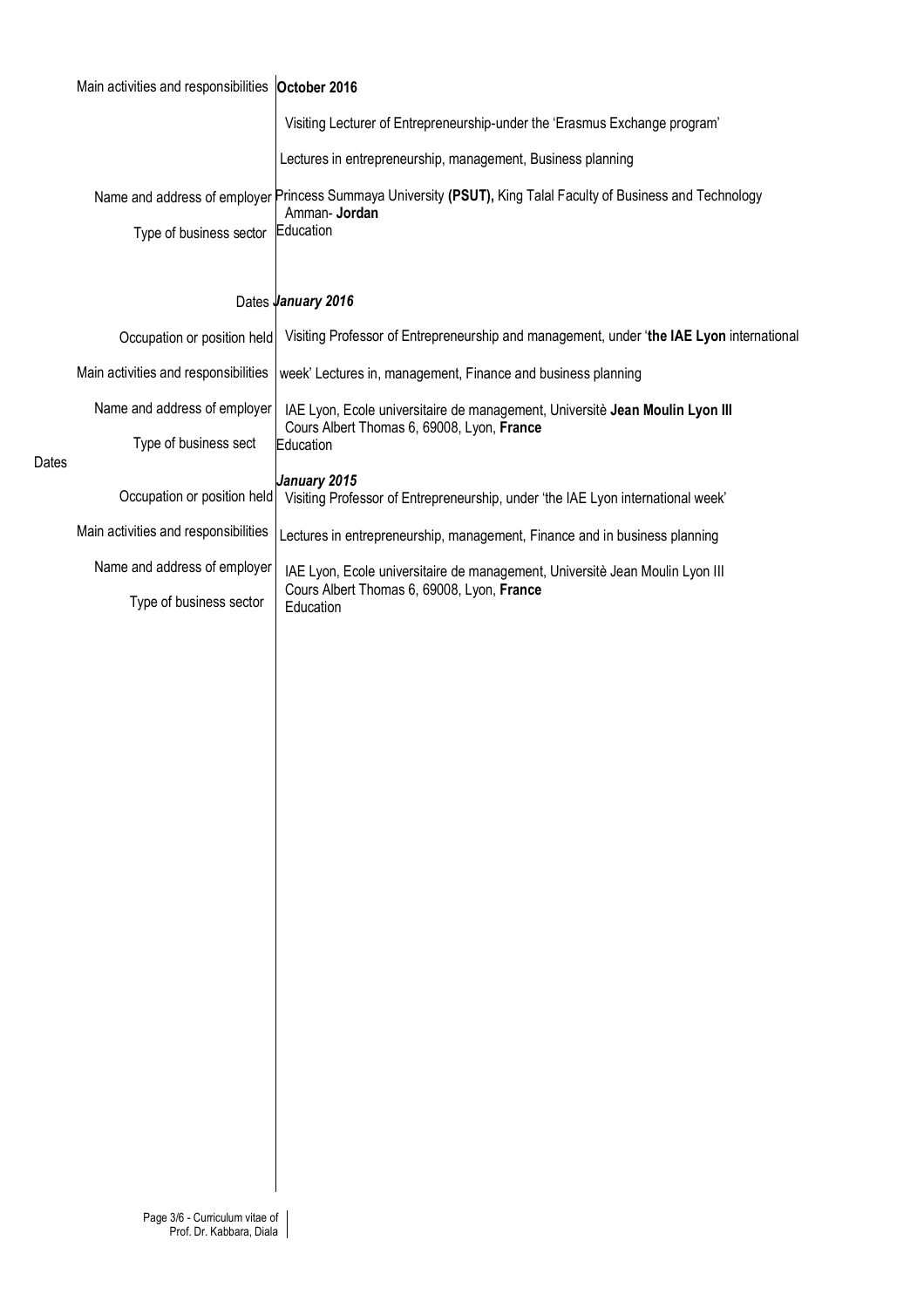|       | Main activities and responsibilities October 2016 |                                                                                                                                             |  |  |  |  |  |  |  |
|-------|---------------------------------------------------|---------------------------------------------------------------------------------------------------------------------------------------------|--|--|--|--|--|--|--|
|       |                                                   | Visiting Lecturer of Entrepreneurship-under the 'Erasmus Exchange program'                                                                  |  |  |  |  |  |  |  |
|       |                                                   | Lectures in entrepreneurship, management, Business planning                                                                                 |  |  |  |  |  |  |  |
|       |                                                   | Name and address of employer Princess Summaya University (PSUT), King Talal Faculty of Business and Technology<br>Amman-Jordan<br>Education |  |  |  |  |  |  |  |
|       | Type of business sector                           |                                                                                                                                             |  |  |  |  |  |  |  |
|       |                                                   |                                                                                                                                             |  |  |  |  |  |  |  |
|       |                                                   | Dates January 2016                                                                                                                          |  |  |  |  |  |  |  |
|       | Occupation or position held                       | Visiting Professor of Entrepreneurship and management, under 'the IAE Lyon international                                                    |  |  |  |  |  |  |  |
| Dates | Main activities and responsibilities              | week' Lectures in, management, Finance and business planning                                                                                |  |  |  |  |  |  |  |
|       | Name and address of employer                      | IAE Lyon, Ecole universitaire de management, Universitè Jean Moulin Lyon III<br>Cours Albert Thomas 6, 69008, Lyon, France                  |  |  |  |  |  |  |  |
|       | Type of business sect                             | Education                                                                                                                                   |  |  |  |  |  |  |  |
|       | Occupation or position held                       | January 2015<br>Visiting Professor of Entrepreneurship, under 'the IAE Lyon international week'                                             |  |  |  |  |  |  |  |
|       | Main activities and responsibilities              | Lectures in entrepreneurship, management, Finance and in business planning                                                                  |  |  |  |  |  |  |  |
|       | Name and address of employer                      | IAE Lyon, Ecole universitaire de management, Universitè Jean Moulin Lyon III                                                                |  |  |  |  |  |  |  |
|       | Type of business sector                           | Cours Albert Thomas 6, 69008, Lyon, France<br>Education                                                                                     |  |  |  |  |  |  |  |
|       |                                                   |                                                                                                                                             |  |  |  |  |  |  |  |
|       |                                                   |                                                                                                                                             |  |  |  |  |  |  |  |
|       |                                                   |                                                                                                                                             |  |  |  |  |  |  |  |
|       |                                                   |                                                                                                                                             |  |  |  |  |  |  |  |
|       |                                                   |                                                                                                                                             |  |  |  |  |  |  |  |
|       |                                                   |                                                                                                                                             |  |  |  |  |  |  |  |
|       |                                                   |                                                                                                                                             |  |  |  |  |  |  |  |
|       |                                                   |                                                                                                                                             |  |  |  |  |  |  |  |
|       |                                                   |                                                                                                                                             |  |  |  |  |  |  |  |
|       |                                                   |                                                                                                                                             |  |  |  |  |  |  |  |
|       |                                                   |                                                                                                                                             |  |  |  |  |  |  |  |
|       |                                                   |                                                                                                                                             |  |  |  |  |  |  |  |
|       |                                                   |                                                                                                                                             |  |  |  |  |  |  |  |
|       |                                                   |                                                                                                                                             |  |  |  |  |  |  |  |
|       |                                                   |                                                                                                                                             |  |  |  |  |  |  |  |
|       |                                                   |                                                                                                                                             |  |  |  |  |  |  |  |
|       |                                                   |                                                                                                                                             |  |  |  |  |  |  |  |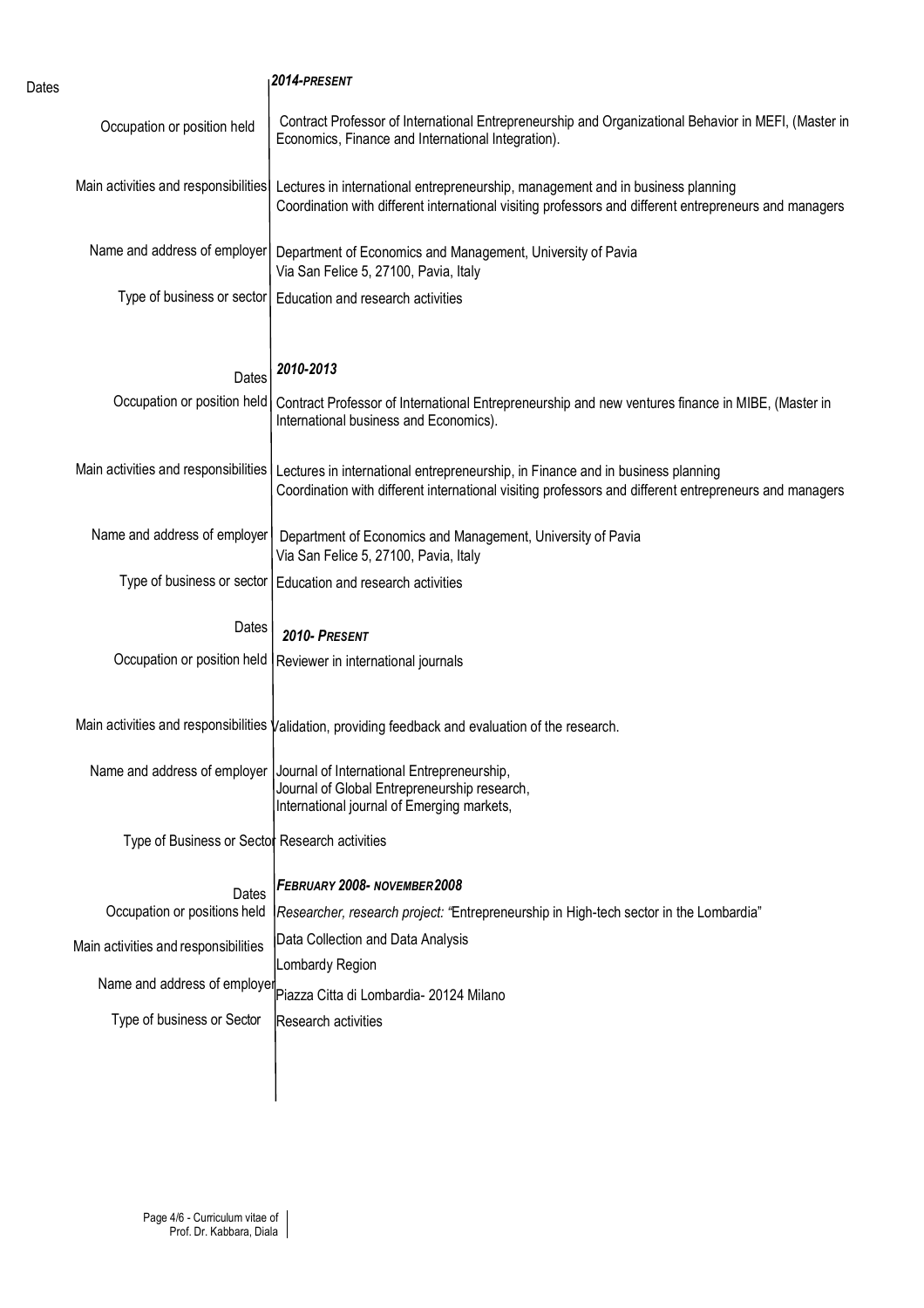| Dates |                                                | 2014-PRESENT                                                                                                                                                                              |  |  |  |  |  |  |
|-------|------------------------------------------------|-------------------------------------------------------------------------------------------------------------------------------------------------------------------------------------------|--|--|--|--|--|--|
|       | Occupation or position held                    | Contract Professor of International Entrepreneurship and Organizational Behavior in MEFI, (Master in<br>Economics, Finance and International Integration).                                |  |  |  |  |  |  |
|       | Main activities and responsibilities           | Lectures in international entrepreneurship, management and in business planning<br>Coordination with different international visiting professors and different entrepreneurs and managers |  |  |  |  |  |  |
|       | Name and address of employer                   | Department of Economics and Management, University of Pavia<br>Via San Felice 5, 27100, Pavia, Italy                                                                                      |  |  |  |  |  |  |
|       | Type of business or sector                     | Education and research activities                                                                                                                                                         |  |  |  |  |  |  |
|       | Dates                                          | 2010-2013                                                                                                                                                                                 |  |  |  |  |  |  |
|       | Occupation or position held                    | Contract Professor of International Entrepreneurship and new ventures finance in MIBE, (Master in<br>International business and Economics).                                               |  |  |  |  |  |  |
|       | Main activities and responsibilities           | Lectures in international entrepreneurship, in Finance and in business planning<br>Coordination with different international visiting professors and different entrepreneurs and managers |  |  |  |  |  |  |
|       | Name and address of employer                   | Department of Economics and Management, University of Pavia<br>Via San Felice 5, 27100, Pavia, Italy                                                                                      |  |  |  |  |  |  |
|       |                                                | Type of business or sector   Education and research activities                                                                                                                            |  |  |  |  |  |  |
|       | Dates                                          | 2010- PRESENT                                                                                                                                                                             |  |  |  |  |  |  |
|       | Occupation or position held                    | Reviewer in international journals                                                                                                                                                        |  |  |  |  |  |  |
|       |                                                | Main activities and responsibilities Validation, providing feedback and evaluation of the research.                                                                                       |  |  |  |  |  |  |
|       |                                                | Name and address of employer   Journal of International Entrepreneurship,<br>Journal of Global Entrepreneurship research,<br>International journal of Emerging markets,                   |  |  |  |  |  |  |
|       | Type of Business or Sector Research activities |                                                                                                                                                                                           |  |  |  |  |  |  |
|       | Dates                                          | FEBRUARY 2008- NOVEMBER 2008                                                                                                                                                              |  |  |  |  |  |  |
|       | Occupation or positions held                   | Researcher, research project: "Entrepreneurship in High-tech sector in the Lombardia"                                                                                                     |  |  |  |  |  |  |
|       | Main activities and responsibilities           | Data Collection and Data Analysis<br>Lombardy Region                                                                                                                                      |  |  |  |  |  |  |
|       |                                                | Name and address of employer Piazza Citta di Lombardia- 20124 Milano                                                                                                                      |  |  |  |  |  |  |
|       | Type of business or Sector                     | Research activities                                                                                                                                                                       |  |  |  |  |  |  |
|       |                                                |                                                                                                                                                                                           |  |  |  |  |  |  |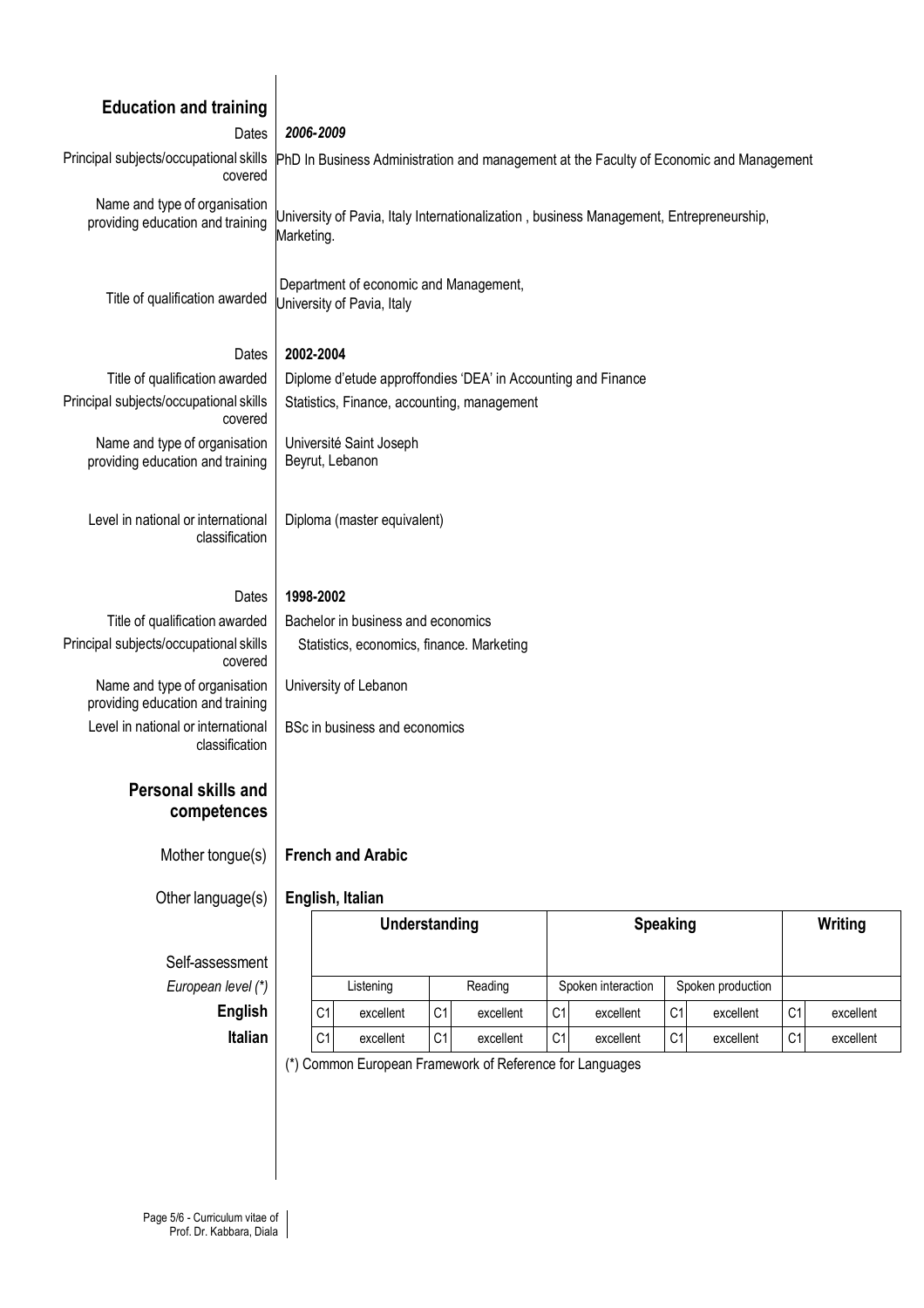| <b>Education and training</b>                                     |                                                                                                                                                 |           |                                         |           |                 |           |                |           |                             |           |  |
|-------------------------------------------------------------------|-------------------------------------------------------------------------------------------------------------------------------------------------|-----------|-----------------------------------------|-----------|-----------------|-----------|----------------|-----------|-----------------------------|-----------|--|
| Dates                                                             | 2006-2009                                                                                                                                       |           |                                         |           |                 |           |                |           |                             |           |  |
| Principal subjects/occupational skills<br>covered                 | PhD In Business Administration and management at the Faculty of Economic and Management                                                         |           |                                         |           |                 |           |                |           |                             |           |  |
| Name and type of organisation<br>providing education and training | University of Pavia, Italy Internationalization, business Management, Entrepreneurship,<br>Marketing.                                           |           |                                         |           |                 |           |                |           |                             |           |  |
| Title of qualification awarded                                    | Department of economic and Management,<br>University of Pavia, Italy                                                                            |           |                                         |           |                 |           |                |           |                             |           |  |
| Dates                                                             | 2002-2004                                                                                                                                       |           |                                         |           |                 |           |                |           |                             |           |  |
| Title of qualification awarded                                    | Diplome d'etude approffondies 'DEA' in Accounting and Finance                                                                                   |           |                                         |           |                 |           |                |           |                             |           |  |
| Principal subjects/occupational skills<br>covered                 | Statistics, Finance, accounting, management                                                                                                     |           |                                         |           |                 |           |                |           |                             |           |  |
| Name and type of organisation<br>providing education and training | Université Saint Joseph<br>Beyrut, Lebanon                                                                                                      |           |                                         |           |                 |           |                |           |                             |           |  |
| Level in national or international<br>classification              | Diploma (master equivalent)                                                                                                                     |           |                                         |           |                 |           |                |           |                             |           |  |
| Dates                                                             | 1998-2002                                                                                                                                       |           |                                         |           |                 |           |                |           |                             |           |  |
| Title of qualification awarded                                    | Bachelor in business and economics                                                                                                              |           |                                         |           |                 |           |                |           |                             |           |  |
| Principal subjects/occupational skills<br>covered                 | Statistics, economics, finance. Marketing                                                                                                       |           |                                         |           |                 |           |                |           |                             |           |  |
| Name and type of organisation<br>providing education and training | University of Lebanon                                                                                                                           |           |                                         |           |                 |           |                |           |                             |           |  |
| Level in national or international<br>classification              | BSc in business and economics                                                                                                                   |           |                                         |           |                 |           |                |           |                             |           |  |
| <b>Personal skills and</b><br>competences                         |                                                                                                                                                 |           |                                         |           |                 |           |                |           |                             |           |  |
| Mother tongue(s)                                                  | <b>French and Arabic</b>                                                                                                                        |           |                                         |           |                 |           |                |           |                             |           |  |
| Other language(s)                                                 | English, Italian                                                                                                                                |           |                                         |           |                 |           |                |           |                             |           |  |
|                                                                   | Understanding                                                                                                                                   |           |                                         |           | <b>Speaking</b> |           |                |           | Writing                     |           |  |
| Self-assessment                                                   |                                                                                                                                                 |           |                                         |           |                 |           |                |           |                             |           |  |
| European level (*)                                                | Reading<br>Listening                                                                                                                            |           | Spoken interaction<br>Spoken production |           |                 |           |                |           |                             |           |  |
| <b>English</b>                                                    | C <sub>1</sub>                                                                                                                                  | excellent | C <sub>1</sub>                          | excellent | C <sub>1</sub>  | excellent | C <sub>1</sub> | excellent | C <sub>1</sub>              | excellent |  |
| Italian                                                           | C <sub>1</sub><br>C1<br>C <sub>1</sub><br>C1<br>excellent<br>excellent<br>excellent<br>(*) Common European Framework of Reference for Languages |           |                                         |           |                 |           |                | excellent | C <sub>1</sub><br>excellent |           |  |
|                                                                   |                                                                                                                                                 |           |                                         |           |                 |           |                |           |                             |           |  |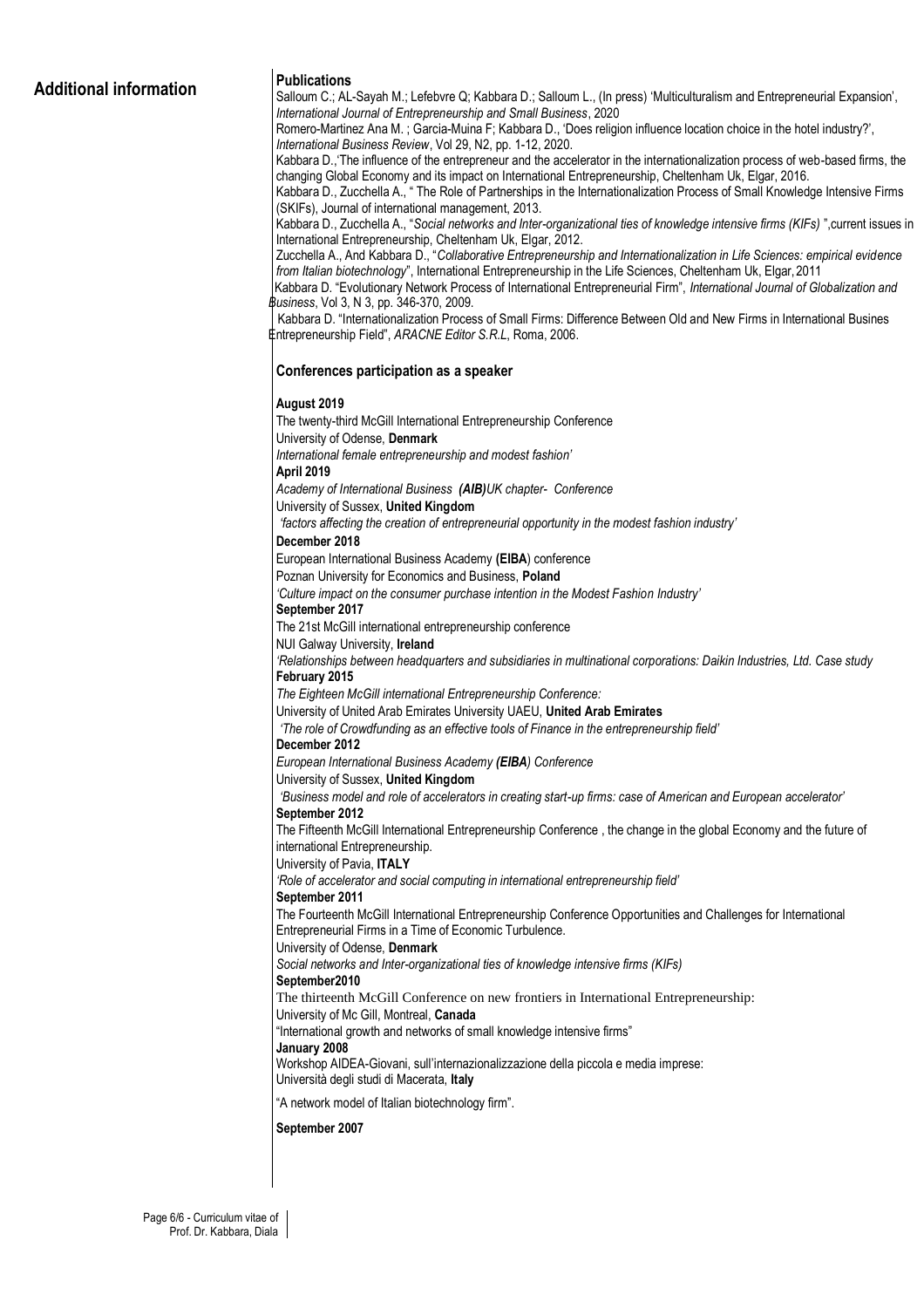## **Additional information Publications**

Salloum C.; AL-Sayah M.; Lefebvre Q; Kabbara D.; Salloum L., (In press) 'Multiculturalism and Entrepreneurial Expansion', *International Journal of Entrepreneurship and Small Business*, 2020 Romero-Martinez Ana M. ; Garcia-Muina F; Kabbara D., 'Does religion influence location choice in the hotel industry?', *International Business Review*, Vol 29, N2, pp. 1-12, 2020. Kabbara D.,'The influence of the entrepreneur and the accelerator in the internationalization process of web-based firms, the changing Global Economy and its impact on International Entrepreneurship, Cheltenham Uk, Elgar, 2016. Kabbara D., Zucchella A., " The Role of Partnerships in the Internationalization Process of Small Knowledge Intensive Firms (SKIFs), Journal of international management, 2013. Kabbara D., Zucchella A., "*Social networks and Inter-organizational ties of knowledge intensive firms (KIFs)* ",current issues in International Entrepreneurship, Cheltenham Uk, Elgar, 2012. Zucchella A., And Kabbara D., "*Collaborative Entrepreneurship and Internationalization in Life Sciences: empirical evidence from Italian biotechnology*", International Entrepreneurship in the Life Sciences, Cheltenham Uk, Elgar, 2011 Kabbara D. "Evolutionary Network Process of International Entrepreneurial Firm", *International Journal of Globalization and Business*, Vol 3, N 3, pp. 346-370, 2009. Kabbara D. "Internationalization Process of Small Firms: Difference Between Old and New Firms in International Busines Entrepreneurship Field", *ARACNE Editor S.R.L*, Roma, 2006. **Conferences participation as a speaker August 2019** The twenty-third McGill International Entrepreneurship Conference University of Odense, **Denmark** *International female entrepreneurship and modest fashion'* **April 2019** *Academy of International Business (AIB)UK chapter- Conference* University of Sussex, **United Kingdom** *'factors affecting the creation of entrepreneurial opportunity in the modest fashion industry'* **December 2018** European International Business Academy **(EIBA**) conference Poznan University for Economics and Business, **Poland** *'Culture impact on the consumer purchase intention in the Modest Fashion Industry'* **September 2017** The 21st McGill international entrepreneurship conference NUI Galway University, **Ireland** *'Relationships between headquarters and subsidiaries in multinational corporations: Daikin Industries, Ltd. Case study* **February 2015** *The Eighteen McGill international Entrepreneurship Conference:* University of United Arab Emirates University UAEU, **United Arab Emirates** *'The role of Crowdfunding as an effective tools of Finance in the entrepreneurship field'* **December 2012** *European International Business Academy (EIBA) Conference* University of Sussex, **United Kingdom** *'Business model and role of accelerators in creating start-up firms: case of American and European accelerator'* **September 2012** The Fifteenth McGill International Entrepreneurship Conference , the change in the global Economy and the future of international Entrepreneurship. University of Pavia, **ITALY** *'Role of accelerator and social computing in international entrepreneurship field'* **September 2011** The Fourteenth McGill International Entrepreneurship Conference Opportunities and Challenges for International Entrepreneurial Firms in a Time of Economic Turbulence. University of Odense, **Denmark** *Social networks and Inter-organizational ties of knowledge intensive firms (KIFs)* **September2010** The thirteenth McGill Conference on new frontiers in International Entrepreneurship: University of Mc Gill, Montreal, **Canada** "International growth and networks of small knowledge intensive firms" **January 2008** Workshop AIDEA-Giovani, sull'internazionalizzazione della piccola e media imprese: Università degli studi di Macerata, **Italy** "A network model of Italian biotechnology firm". **September 2007**